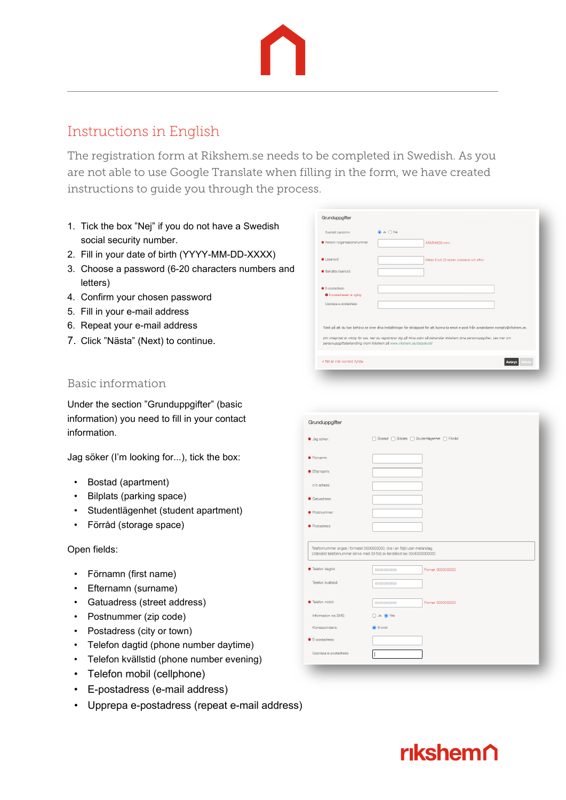## Instructions in English

The registration form at Rikshem.se needs to be completed in Swedish. As you are not able to use Google Translate when filling in the form, we have created instructions to guide you through the process.

- 1. Tick the box "Nej" if you do not have a Swedish social security number.
- 2. Fill in your date of birth (YYYY-MM-DD-XXXX)
- 3. Choose a password (6-20 characters numbers and letters)
- 4. Confirm your chosen password
- 5. Fill in your e-mail address
- 6. Repeat your e-mail address
- 7. Click "Nästa" (Next) to continue.

| Grunduppgifter                    |                                                                                                                                                                                                   |
|-----------------------------------|---------------------------------------------------------------------------------------------------------------------------------------------------------------------------------------------------|
| Svenskt personnr:                 | ● Ja ○ Nej                                                                                                                                                                                        |
| * Person-/organisationsnummer:    | AAAAMMDD-nnnn                                                                                                                                                                                     |
| * Lösenord:                       | Mellan 6 och 20 tecken, bokstäver och siffror                                                                                                                                                     |
| * Bekräfta lösenord:              |                                                                                                                                                                                                   |
| * E-postadress:                   |                                                                                                                                                                                                   |
| <b>O</b> E-postadressen är ogitig |                                                                                                                                                                                                   |
| Upprepa e-postadress:             |                                                                                                                                                                                                   |
|                                   |                                                                                                                                                                                                   |
|                                   | Tänk på att du kan behöva se över dina inställningar för skräppost för att kunna ta emot e-post från avsändaren noreply@rikshem.se.                                                               |
|                                   | Din integritet är viktig för oss. När du registrerar dig på Mina sidor så behandlar Rikshem dina personuppgifter. Läs mer om<br>personuppgiftsbehandling inom Rikshem på www.rikshem.se/dataskydd |
|                                   |                                                                                                                                                                                                   |

### Basic information

Under the section "Grunduppgifter" (basic information) you need to fill in your contact information.

Jag söker (I'm looking for...), tick the box:

- Bostad (apartment)
- Bilplats (parking space)
- Studentlägenhet (student apartment)
- Förråd (storage space)

#### Open fields:

- Förnamn (first name)
- Efternamn (surname)
- Gatuadress (street address)
- Postnummer (zip code)
- Postadress (city or town)
- Telefon dagtid (phone number daytime)
- Telefon kvällstid (phone number evening)
- Telefon mobil (cellphone)
- E-postadress (e-mail address)
- Upprepa e-postadress (repeat e-mail address)

| Grunduppgifter                                                                                                                                          |                                                |                    |  |
|---------------------------------------------------------------------------------------------------------------------------------------------------------|------------------------------------------------|--------------------|--|
| * Jag söker:                                                                                                                                            | □ Bostad □ Bilplats □ Studentlägenhet □ Förråd |                    |  |
| * Förnamn:                                                                                                                                              |                                                |                    |  |
| * Efternamn:                                                                                                                                            |                                                |                    |  |
| c/o adress:                                                                                                                                             |                                                |                    |  |
| * Gatuadress:                                                                                                                                           |                                                |                    |  |
| * Postnummer:                                                                                                                                           |                                                |                    |  |
| * Postadress:                                                                                                                                           |                                                |                    |  |
|                                                                                                                                                         |                                                |                    |  |
| Telefonnummer anges i formatet 0000000000, dvs i en följd utan mellanslag.<br>Utländskt telefonnummer skrivs med 00 följt av landskod tex 0045000000000 |                                                |                    |  |
| * Telefon dagtid:                                                                                                                                       | 0000000000                                     | Format: 0000000000 |  |
| Telefon kvällstid:                                                                                                                                      | 0000000000                                     |                    |  |
|                                                                                                                                                         |                                                |                    |  |
| * Telefon mobil:                                                                                                                                        | 0000000000                                     | Format: 0000000000 |  |
| Information via SMS:                                                                                                                                    | O Ja ● Nej                                     |                    |  |
| Korrespondens:                                                                                                                                          | <b>C</b> E-post                                |                    |  |
| <b>*</b> E-postadress:                                                                                                                                  |                                                |                    |  |
| Upprepa e-postadress:                                                                                                                                   |                                                |                    |  |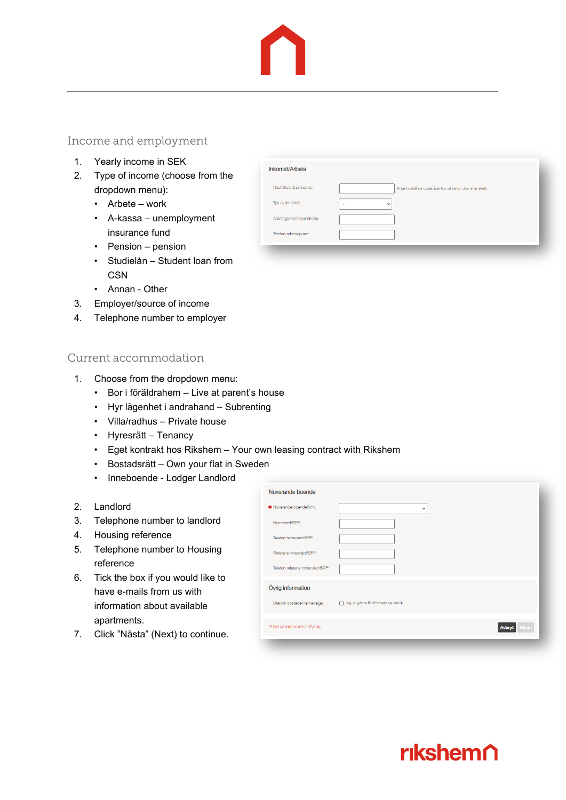### Income and employment

- 1. Yearly income in SEK
- 2. Type of income (choose from the dropdown menu):
	- Arbete work
	- A-kassa unemployment insurance fund
	- Pension pension
	- Studielån Student loan from **CSN**
	- Annan Other
- 3. Employer/source of income
- 4. Telephone number to employer

### Current accommodation

- 1. Choose from the dropdown menu:
	- Bor i föräldrahem Live at parent's house
	- Hyr lägenhet i andrahand Subrenting
	- Villa/radhus Private house
	- Hyresrätt Tenancy
	- Eget kontrakt hos Rikshem Your own leasing contract with Rikshem
	- Bostadsrätt Own your flat in Sweden
	- Inneboende Lodger Landlord
- 2. Landlord
- 3. Telephone number to landlord
- 4. Housing reference
- 5. Telephone number to Housing reference
- 6. Tick the box if you would like to have e-mails from us with information about available apartments.
- 7. Click "Nästa" (Next) to continue.

| Hushållets årsinkomst:<br>Ange hushållets totala årsinkomst netto, dvs. efter skatt.<br>Typ av inkomst:<br>$\checkmark$<br>$\overline{\phantom{a}}$<br>Arbetsgivare/Inkomstkälla: | Inkomst/Arbete        |  |
|-----------------------------------------------------------------------------------------------------------------------------------------------------------------------------------|-----------------------|--|
|                                                                                                                                                                                   |                       |  |
|                                                                                                                                                                                   |                       |  |
|                                                                                                                                                                                   |                       |  |
|                                                                                                                                                                                   | Telefon arbetsgivare: |  |

| Nuvarande boende                |                                       |
|---------------------------------|---------------------------------------|
| * Nuvarande boendeform:         | $\checkmark$<br>×                     |
| Hyresvärd/BRF:                  |                                       |
| Telefon hyresvärd/BRF:          |                                       |
| Referens hyresvärd/BRF:         |                                       |
| Telefon referens hyresvärd/BRF: |                                       |
| Övrig information               |                                       |
| Utskick bostäder/temadagar:     | Jag vill gärna få informationsutskick |
| 9 fält är inte korrekt ifyllda  |                                       |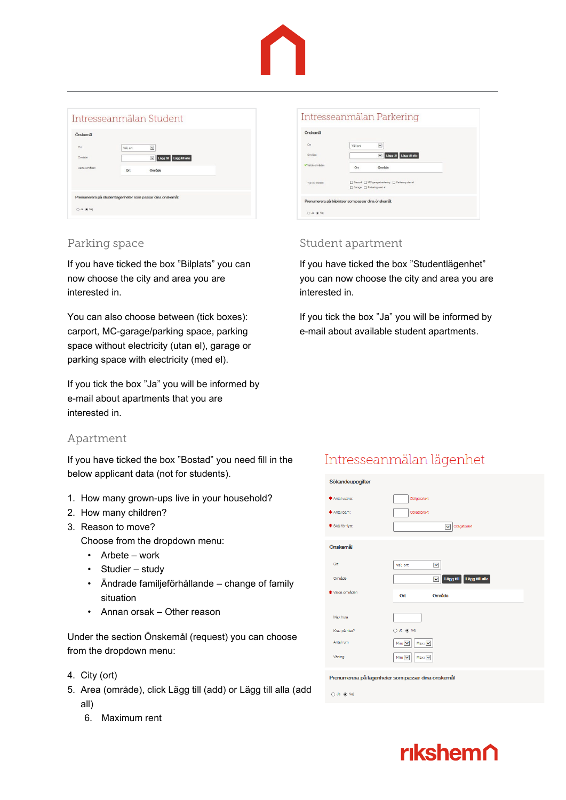

### Intresseanmälan Student

| On<br>Område  | Väli ort | $\checkmark$<br>▽ Lägg till Lägg till alla                 |  |
|---------------|----------|------------------------------------------------------------|--|
| Valda områden |          |                                                            |  |
|               | Ort      | Område                                                     |  |
|               |          |                                                            |  |
|               |          | Prenumerera på studentlägenheter som passar dina önskemål: |  |

### Parking space

If you have ticked the box "Bilplats" you can now choose the city and area you are interested in.

You can also choose between (tick boxes): carport, MC-garage/parking space, parking space without electricity (utan el), garage or parking space with electricity (med el).

If you tick the box "Ja" you will be informed by e-mail about apartments that you are interested in.

### Apartment

If you have ticked the box "Bostad" you need fill in the below applicant data (not for students).

- 1. How many grown-ups live in your household?
- 2. How many children?
- 3. Reason to move?

Choose from the dropdown menu:

- Arbete work
- Studier study
- Ändrade familjeförhållande change of family situation
- Annan orsak Other reason

Under the section Önskemål (request) you can choose from the dropdown menu:

- 4. City (ort)
- 5. Area (område), click Lägg till (add) or Lägg till alla (add all)
	- 6. Maximum rent

| Önskemål       |                                                                                  |  |
|----------------|----------------------------------------------------------------------------------|--|
| Ort            | $\check{ }$<br>Väli ort                                                          |  |
| Område         | V Lägg till Lägg till alla                                                       |  |
| Valda områden  | Område<br>Ort                                                                    |  |
| Typ av biplate | □ Carport □ MC-garage/parkering □ Parkering utan el<br>Garage [ Parkering med el |  |
|                |                                                                                  |  |

### Student apartment

 $O$  Ja  $\odot$  Nej

If you have ticked the box "Studentlägenhet" you can now choose the city and area you are interested in.

If you tick the box "Ja" you will be informed by e-mail about available student apartments.

### Intresseanmälan lägenhet

| Sökandeuppgifter      |                                                        |
|-----------------------|--------------------------------------------------------|
| <b>*</b> Antal vuxna: | Obligatoriskt                                          |
| * Antal ham:          | Obligatoriskt                                          |
| * Skäl för flytt:     | Obligatoriskt<br>$\overline{\mathsf{v}}$               |
| Önskemål              |                                                        |
| Ort                   | Välj ort<br>×                                          |
| Område                | Lägg till Lägg till alla<br>$\checkmark$               |
| * Valda områden       | Område<br>Ort                                          |
|                       |                                                        |
| Max hyra              |                                                        |
| Krav på hiss?         | O Ja (+) Nej                                           |
| Antal rum             | $Max:$ $\blacktriangleright$<br>Min: V                 |
| Våning                | Min: $\vert \mathbf{v} \vert$<br>$Max: \triangleright$ |
|                       | Prenumerera på lägenheter som passar dina önskemål     |